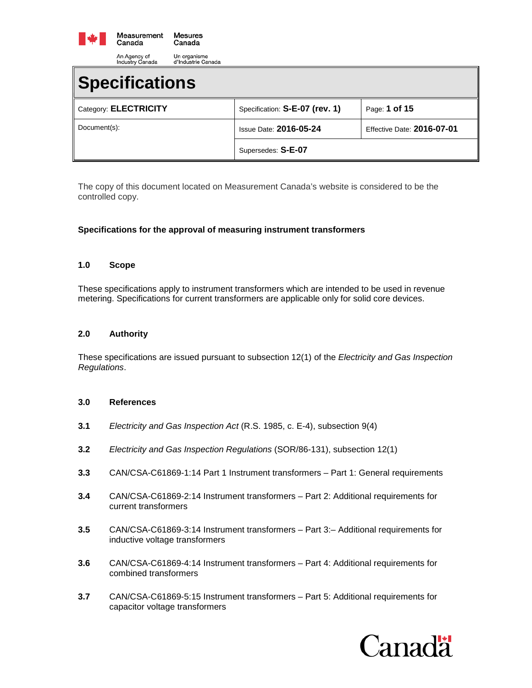

| muustry Canada<br>u illuustile Gallaud |                                |                            |  |  |
|----------------------------------------|--------------------------------|----------------------------|--|--|
| <b>Specifications</b>                  |                                |                            |  |  |
| Category: ELECTRICITY                  | Specification: S-E-07 (rev. 1) | Page: 1 of 15              |  |  |
| Document(s):                           | <b>Issue Date: 2016-05-24</b>  | Effective Date: 2016-07-01 |  |  |
|                                        | Supersedes: S-E-07             |                            |  |  |

The copy of this document located on Measurement Canada's website is considered to be the controlled copy.

## **Specifications for the approval of measuring instrument transformers**

#### **1.0 Scope**

These specifications apply to instrument transformers which are intended to be used in revenue metering. Specifications for current transformers are applicable only for solid core devices.

#### **2.0 Authority**

These specifications are issued pursuant to subsection 12(1) of the *Electricity and Gas Inspection Regulations*.

#### **3.0 References**

- **3.1** *Electricity and Gas Inspection Act* (R.S. 1985, c. E-4), subsection 9(4)
- **3.2** *Electricity and Gas Inspection Regulations* (SOR/86-131), subsection 12(1)
- **3.3** CAN/CSA-C61869-1:14 Part 1 Instrument transformers Part 1: General requirements
- **3.4** CAN/CSA-C61869-2:14 Instrument transformers Part 2: Additional requirements for current transformers
- **3.5** CAN/CSA-C61869-3:14 Instrument transformers Part 3:– Additional requirements for inductive voltage transformers
- **3.6** CAN/CSA-C61869-4:14 Instrument transformers Part 4: Additional requirements for combined transformers
- **3.7** CAN/CSA-C61869-5:15 Instrument transformers Part 5: Additional requirements for capacitor voltage transformers

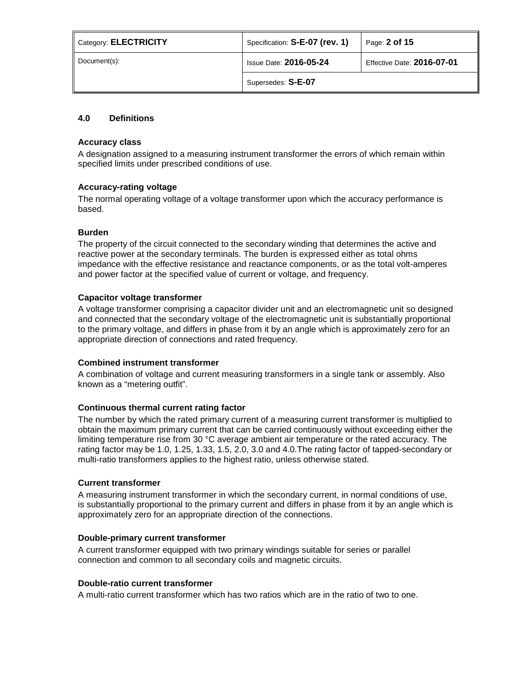| Category: <b>ELECTRICITY</b> | Specification: S-E-07 (rev. 1) | Page: 2 of 15              |
|------------------------------|--------------------------------|----------------------------|
| Document(s):                 | <b>Issue Date: 2016-05-24</b>  | Effective Date: 2016-07-01 |
|                              | Supersedes: S-E-07             |                            |

# **4.0 Definitions**

#### **Accuracy class**

A designation assigned to a measuring instrument transformer the errors of which remain within specified limits under prescribed conditions of use.

## **Accuracy-rating voltage**

The normal operating voltage of a voltage transformer upon which the accuracy performance is based.

## **Burden**

The property of the circuit connected to the secondary winding that determines the active and reactive power at the secondary terminals. The burden is expressed either as total ohms impedance with the effective resistance and reactance components, or as the total volt-amperes and power factor at the specified value of current or voltage, and frequency.

## **Capacitor voltage transformer**

A voltage transformer comprising a capacitor divider unit and an electromagnetic unit so designed and connected that the secondary voltage of the electromagnetic unit is substantially proportional to the primary voltage, and differs in phase from it by an angle which is approximately zero for an appropriate direction of connections and rated frequency.

#### **Combined instrument transformer**

A combination of voltage and current measuring transformers in a single tank or assembly. Also known as a "metering outfit".

#### **Continuous thermal current rating factor**

The number by which the rated primary current of a measuring current transformer is multiplied to obtain the maximum primary current that can be carried continuously without exceeding either the limiting temperature rise from 30 °C average ambient air temperature or the rated accuracy. The rating factor may be 1.0, 1.25, 1.33, 1.5, 2.0, 3.0 and 4.0.The rating factor of tapped-secondary or multi-ratio transformers applies to the highest ratio, unless otherwise stated.

#### **Current transformer**

A measuring instrument transformer in which the secondary current, in normal conditions of use, is substantially proportional to the primary current and differs in phase from it by an angle which is approximately zero for an appropriate direction of the connections.

#### **Double-primary current transformer**

A current transformer equipped with two primary windings suitable for series or parallel connection and common to all secondary coils and magnetic circuits.

#### **Double-ratio current transformer**

A multi-ratio current transformer which has two ratios which are in the ratio of two to one.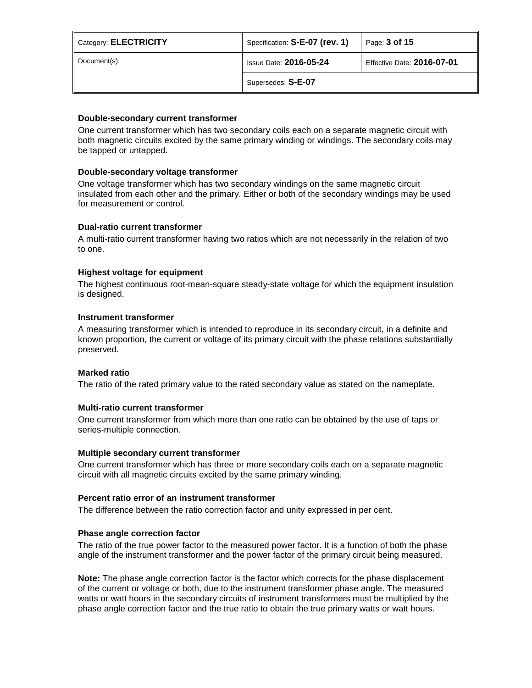| Category: ELECTRICITY | Specification: S-E-07 (rev. 1) | Page: 3 of 15              |
|-----------------------|--------------------------------|----------------------------|
| Document(s):          | <b>Issue Date: 2016-05-24</b>  | Effective Date: 2016-07-01 |
|                       | Supersedes: S-E-07             |                            |

## **Double-secondary current transformer**

One current transformer which has two secondary coils each on a separate magnetic circuit with both magnetic circuits excited by the same primary winding or windings. The secondary coils may be tapped or untapped.

## **Double-secondary voltage transformer**

One voltage transformer which has two secondary windings on the same magnetic circuit insulated from each other and the primary. Either or both of the secondary windings may be used for measurement or control.

## **Dual-ratio current transformer**

A multi-ratio current transformer having two ratios which are not necessarily in the relation of two to one.

## **Highest voltage for equipment**

The highest continuous root-mean-square steady-state voltage for which the equipment insulation is designed.

#### **Instrument transformer**

A measuring transformer which is intended to reproduce in its secondary circuit, in a definite and known proportion, the current or voltage of its primary circuit with the phase relations substantially preserved.

#### **Marked ratio**

The ratio of the rated primary value to the rated secondary value as stated on the nameplate.

#### **Multi-ratio current transformer**

One current transformer from which more than one ratio can be obtained by the use of taps or series-multiple connection.

#### **Multiple secondary current transformer**

One current transformer which has three or more secondary coils each on a separate magnetic circuit with all magnetic circuits excited by the same primary winding.

#### **Percent ratio error of an instrument transformer**

The difference between the ratio correction factor and unity expressed in per cent.

#### **Phase angle correction factor**

The ratio of the true power factor to the measured power factor. It is a function of both the phase angle of the instrument transformer and the power factor of the primary circuit being measured.

**Note:** The phase angle correction factor is the factor which corrects for the phase displacement of the current or voltage or both, due to the instrument transformer phase angle. The measured watts or watt hours in the secondary circuits of instrument transformers must be multiplied by the phase angle correction factor and the true ratio to obtain the true primary watts or watt hours.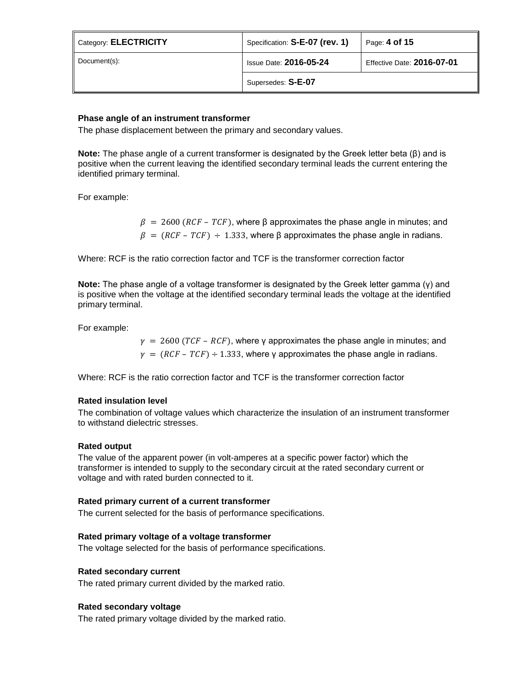| Category: ELECTRICITY | Specification: S-E-07 (rev. 1) | Page: 4 of 15              |
|-----------------------|--------------------------------|----------------------------|
| Document(s):          | <b>Issue Date: 2016-05-24</b>  | Effective Date: 2016-07-01 |
|                       | Supersedes: S-E-07             |                            |

## **Phase angle of an instrument transformer**

The phase displacement between the primary and secondary values.

**Note:** The phase angle of a current transformer is designated by the Greek letter beta (β) and is positive when the current leaving the identified secondary terminal leads the current entering the identified primary terminal.

For example:

 $\beta = 2600$  ( $RCF - TCF$ ), where β approximates the phase angle in minutes; and  $\beta = (RCF - TCF) \div 1.333$ , where  $\beta$  approximates the phase angle in radians.

Where: RCF is the ratio correction factor and TCF is the transformer correction factor

**Note:** The phase angle of a voltage transformer is designated by the Greek letter gamma (γ) and is positive when the voltage at the identified secondary terminal leads the voltage at the identified primary terminal.

For example:

 $\gamma = 2600$  (TCF – RCF), where γ approximates the phase angle in minutes; and  $\gamma = (RCF - TCF) \div 1.333$ , where y approximates the phase angle in radians.

Where: RCF is the ratio correction factor and TCF is the transformer correction factor

#### **Rated insulation level**

The combination of voltage values which characterize the insulation of an instrument transformer to withstand dielectric stresses.

#### **Rated output**

The value of the apparent power (in volt-amperes at a specific power factor) which the transformer is intended to supply to the secondary circuit at the rated secondary current or voltage and with rated burden connected to it.

#### **Rated primary current of a current transformer**

The current selected for the basis of performance specifications.

#### **Rated primary voltage of a voltage transformer**

The voltage selected for the basis of performance specifications.

#### **Rated secondary current**

The rated primary current divided by the marked ratio.

#### **Rated secondary voltage**

The rated primary voltage divided by the marked ratio.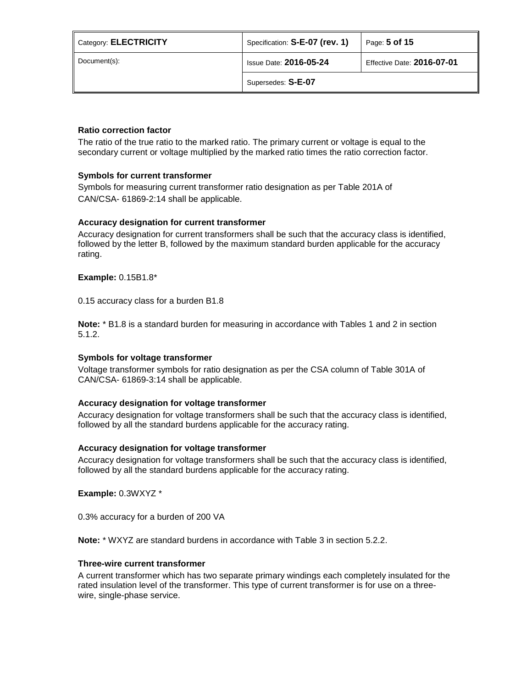| Category: <b>ELECTRICITY</b> | Specification: S-E-07 (rev. 1)                              | Page: 5 of 15 |  |
|------------------------------|-------------------------------------------------------------|---------------|--|
| Document(s):                 | <b>Issue Date: 2016-05-24</b><br>Effective Date: 2016-07-01 |               |  |
|                              | Supersedes: S-E-07                                          |               |  |

### **Ratio correction factor**

The ratio of the true ratio to the marked ratio. The primary current or voltage is equal to the secondary current or voltage multiplied by the marked ratio times the ratio correction factor.

## **Symbols for current transformer**

Symbols for measuring current transformer ratio designation as per Table 201A of CAN/CSA- 61869-2:14 shall be applicable.

## **Accuracy designation for current transformer**

Accuracy designation for current transformers shall be such that the accuracy class is identified, followed by the letter B, followed by the maximum standard burden applicable for the accuracy rating.

#### **Example:** 0.15B1.8\*

0.15 accuracy class for a burden B1.8

**Note:** \* B1.8 is a standard burden for measuring in accordance with Tables 1 and 2 in section 5.1.2.

#### **Symbols for voltage transformer**

Voltage transformer symbols for ratio designation as per the CSA column of Table 301A of CAN/CSA- 61869-3:14 shall be applicable.

#### **Accuracy designation for voltage transformer**

Accuracy designation for voltage transformers shall be such that the accuracy class is identified, followed by all the standard burdens applicable for the accuracy rating.

#### **Accuracy designation for voltage transformer**

Accuracy designation for voltage transformers shall be such that the accuracy class is identified, followed by all the standard burdens applicable for the accuracy rating.

**Example:** 0.3WXYZ \*

0.3% accuracy for a burden of 200 VA

**Note:** \* WXYZ are standard burdens in accordance with Table 3 in section 5.2.2.

#### **Three-wire current transformer**

A current transformer which has two separate primary windings each completely insulated for the rated insulation level of the transformer. This type of current transformer is for use on a threewire, single-phase service.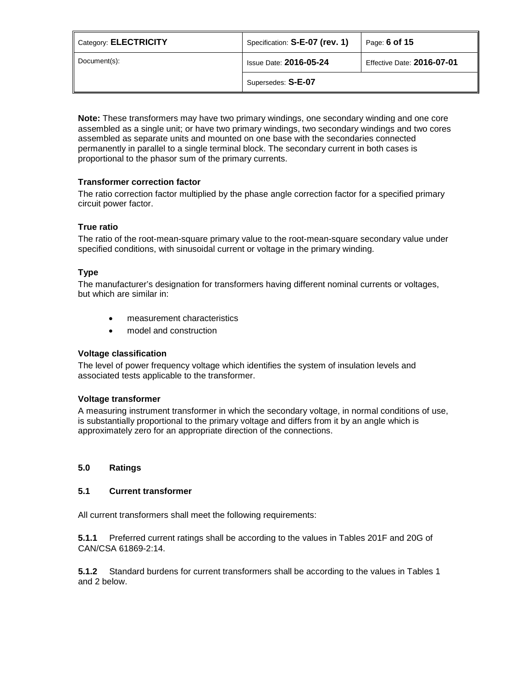| Category: <b>ELECTRICITY</b> | Specification: S-E-07 (rev. 1) | Page: 6 of 15              |
|------------------------------|--------------------------------|----------------------------|
| Document(s):                 | <b>Issue Date: 2016-05-24</b>  | Effective Date: 2016-07-01 |
|                              | Supersedes: S-E-07             |                            |

**Note:** These transformers may have two primary windings, one secondary winding and one core assembled as a single unit; or have two primary windings, two secondary windings and two cores assembled as separate units and mounted on one base with the secondaries connected permanently in parallel to a single terminal block. The secondary current in both cases is proportional to the phasor sum of the primary currents.

# **Transformer correction factor**

The ratio correction factor multiplied by the phase angle correction factor for a specified primary circuit power factor.

# **True ratio**

The ratio of the root-mean-square primary value to the root-mean-square secondary value under specified conditions, with sinusoidal current or voltage in the primary winding.

# **Type**

The manufacturer's designation for transformers having different nominal currents or voltages, but which are similar in:

- measurement characteristics
- model and construction

# **Voltage classification**

The level of power frequency voltage which identifies the system of insulation levels and associated tests applicable to the transformer.

#### **Voltage transformer**

A measuring instrument transformer in which the secondary voltage, in normal conditions of use, is substantially proportional to the primary voltage and differs from it by an angle which is approximately zero for an appropriate direction of the connections.

# **5.0 Ratings**

#### **5.1 Current transformer**

All current transformers shall meet the following requirements:

**5.1.1** Preferred current ratings shall be according to the values in Tables 201F and 20G of CAN/CSA 61869-2:14.

**5.1.2** Standard burdens for current transformers shall be according to the values in Tables 1 and 2 below.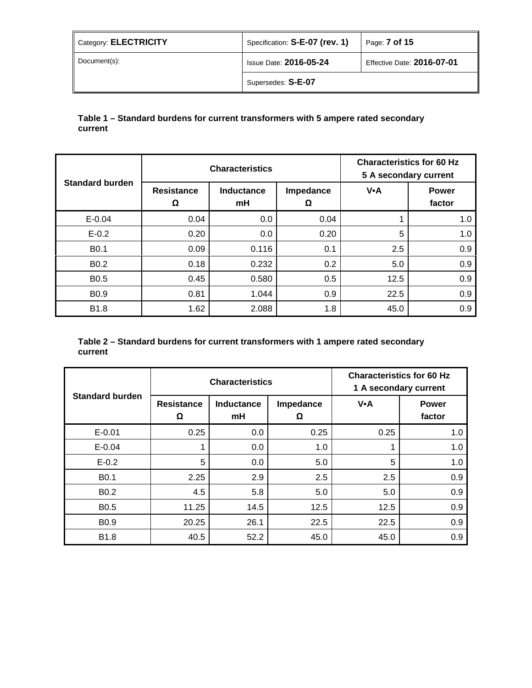| Category: ELECTRICITY | Specification: S-E-07 (rev. 1) | Page: <b>7 of 15</b>       |
|-----------------------|--------------------------------|----------------------------|
| Document(s):          | <b>Issue Date: 2016-05-24</b>  | Effective Date: 2016-07-01 |
|                       | Supersedes: S-E-07             |                            |

# **Table 1 – Standard burdens for current transformers with 5 ampere rated secondary current**

|                        |                        | <b>Characteristics</b> |                | <b>Characteristics for 60 Hz</b><br>5 A secondary current |                        |  |
|------------------------|------------------------|------------------------|----------------|-----------------------------------------------------------|------------------------|--|
| <b>Standard burden</b> | <b>Resistance</b><br>Ω | Inductance<br>mH       | Impedance<br>Ω | V.A                                                       | <b>Power</b><br>factor |  |
| $E - 0.04$             | 0.04                   | 0.0                    | 0.04           |                                                           | 1.0                    |  |
| $E - 0.2$              | 0.20                   | 0.0                    | 0.20           | 5                                                         | 1.0                    |  |
| B <sub>0.1</sub>       | 0.09                   | 0.116                  | 0.1            | 2.5                                                       | 0.9                    |  |
| B <sub>0.2</sub>       | 0.18                   | 0.232                  | 0.2            | 5.0                                                       | 0.9                    |  |
| <b>B0.5</b>            | 0.45                   | 0.580                  | 0.5            | 12.5                                                      | 0.9                    |  |
| <b>B0.9</b>            | 0.81                   | 1.044                  | 0.9            | 22.5                                                      | 0.9                    |  |
| <b>B1.8</b>            | 1.62                   | 2.088                  | 1.8            | 45.0                                                      | 0.9                    |  |

# **Table 2 – Standard burdens for current transformers with 1 ampere rated secondary current**

|                        |                        | <b>Characteristics</b>  |                | <b>Characteristics for 60 Hz</b><br>1 A secondary current |                        |  |
|------------------------|------------------------|-------------------------|----------------|-----------------------------------------------------------|------------------------|--|
| <b>Standard burden</b> | <b>Resistance</b><br>Ω | <b>Inductance</b><br>mH | Impedance<br>Ω | V•A                                                       | <b>Power</b><br>factor |  |
| $E - 0.01$             | 0.25                   | 0.0                     | 0.25           | 0.25                                                      | 1.0                    |  |
| $E - 0.04$             |                        | 0.0                     | 1.0            |                                                           | 1.0                    |  |
| $E - 0.2$              | 5                      | 0.0                     | 5.0            | 5                                                         | 1.0                    |  |
| B <sub>0.1</sub>       | 2.25                   | 2.9                     | 2.5            | 2.5                                                       | 0.9                    |  |
| B <sub>0.2</sub>       | 4.5                    | 5.8                     | 5.0            | 5.0                                                       | 0.9                    |  |
| B <sub>0.5</sub>       | 11.25                  | 14.5                    | 12.5           | 12.5                                                      | 0.9                    |  |
| <b>B0.9</b>            | 20.25                  | 26.1                    | 22.5           | 22.5                                                      | 0.9                    |  |
| B <sub>1.8</sub>       | 40.5                   | 52.2                    | 45.0           | 45.0                                                      | 0.9                    |  |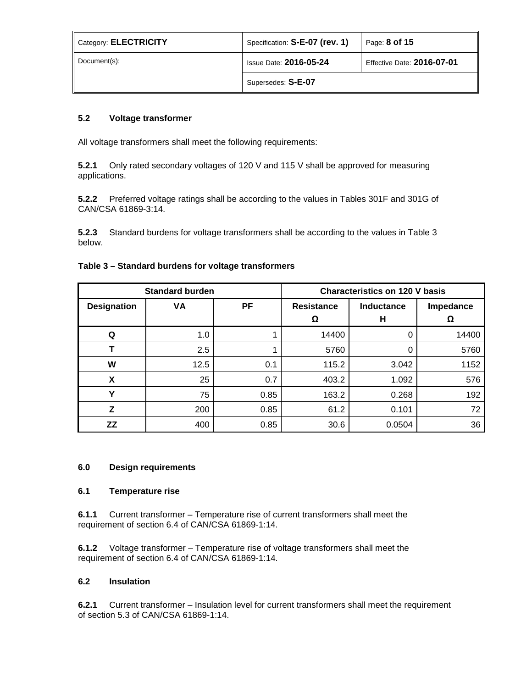| Category: <b>ELECTRICITY</b> | Specification: S-E-07 (rev. 1)                              | Page: 8 of 15 |
|------------------------------|-------------------------------------------------------------|---------------|
| Document(s):                 | <b>Issue Date: 2016-05-24</b><br>Effective Date: 2016-07-01 |               |
|                              | Supersedes: S-E-07                                          |               |

# **5.2 Voltage transformer**

All voltage transformers shall meet the following requirements:

**5.2.1** Only rated secondary voltages of 120 V and 115 V shall be approved for measuring applications.

**5.2.2** Preferred voltage ratings shall be according to the values in Tables 301F and 301G of CAN/CSA 61869-3:14.

**5.2.3** Standard burdens for voltage transformers shall be according to the values in Table 3 below.

| Table 3 – Standard burdens for voltage transformers |  |  |  |
|-----------------------------------------------------|--|--|--|
|-----------------------------------------------------|--|--|--|

| <b>Standard burden</b> |      | <b>Characteristics on 120 V basis</b> |                 |                 |                |
|------------------------|------|---------------------------------------|-----------------|-----------------|----------------|
| <b>Designation</b>     | VA   | PF                                    | Resistance<br>Ω | Inductance<br>н | Impedance<br>Ω |
| Q                      | 1.0  | 1                                     | 14400           | 0               | 14400          |
|                        | 2.5  | 1                                     | 5760            | 0               | 5760           |
| W                      | 12.5 | 0.1                                   | 115.2           | 3.042           | 1152           |
| X                      | 25   | 0.7                                   | 403.2           | 1.092           | 576            |
| Υ                      | 75   | 0.85                                  | 163.2           | 0.268           | 192            |
| z                      | 200  | 0.85                                  | 61.2            | 0.101           | 72             |
| ΖZ                     | 400  | 0.85                                  | 30.6            | 0.0504          | 36             |

## **6.0 Design requirements**

### **6.1 Temperature rise**

**6.1.1** Current transformer – Temperature rise of current transformers shall meet the requirement of section 6.4 of CAN/CSA 61869-1:14.

**6.1.2** Voltage transformer – Temperature rise of voltage transformers shall meet the requirement of section 6.4 of CAN/CSA 61869-1:14.

### **6.2 Insulation**

**6.2.1** Current transformer – Insulation level for current transformers shall meet the requirement of section 5.3 of CAN/CSA 61869-1:14.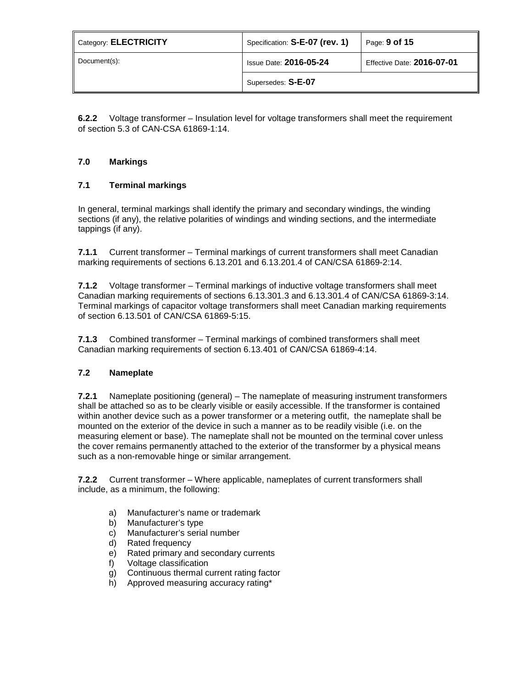| Category: ELECTRICITY | Specification: S-E-07 (rev. 1) | Page: 9 of 15              |
|-----------------------|--------------------------------|----------------------------|
| Document(s):          | <b>Issue Date: 2016-05-24</b>  | Effective Date: 2016-07-01 |
|                       | Supersedes: S-E-07             |                            |

**6.2.2** Voltage transformer – Insulation level for voltage transformers shall meet the requirement of section 5.3 of CAN-CSA 61869-1:14.

# **7.0 Markings**

# **7.1 Terminal markings**

In general, terminal markings shall identify the primary and secondary windings, the winding sections (if any), the relative polarities of windings and winding sections, and the intermediate tappings (if any).

**7.1.1** Current transformer – Terminal markings of current transformers shall meet Canadian marking requirements of sections 6.13.201 and 6.13.201.4 of CAN/CSA 61869-2:14.

**7.1.2** Voltage transformer – Terminal markings of inductive voltage transformers shall meet Canadian marking requirements of sections 6.13.301.3 and 6.13.301.4 of CAN/CSA 61869-3:14. Terminal markings of capacitor voltage transformers shall meet Canadian marking requirements of section 6.13.501 of CAN/CSA 61869-5:15.

**7.1.3** Combined transformer – Terminal markings of combined transformers shall meet Canadian marking requirements of section 6.13.401 of CAN/CSA 61869-4:14.

# **7.2 Nameplate**

**7.2.1** Nameplate positioning (general) – The nameplate of measuring instrument transformers shall be attached so as to be clearly visible or easily accessible. If the transformer is contained within another device such as a power transformer or a metering outfit, the nameplate shall be mounted on the exterior of the device in such a manner as to be readily visible (i.e. on the measuring element or base). The nameplate shall not be mounted on the terminal cover unless the cover remains permanently attached to the exterior of the transformer by a physical means such as a non-removable hinge or similar arrangement.

**7.2.2** Current transformer – Where applicable, nameplates of current transformers shall include, as a minimum, the following:

- a) Manufacturer's name or trademark
- b) Manufacturer's type
- c) Manufacturer's serial number
- d) Rated frequency
- e) Rated primary and secondary currents
- f) Voltage classification
- g) Continuous thermal current rating factor
- h) Approved measuring accuracy rating\*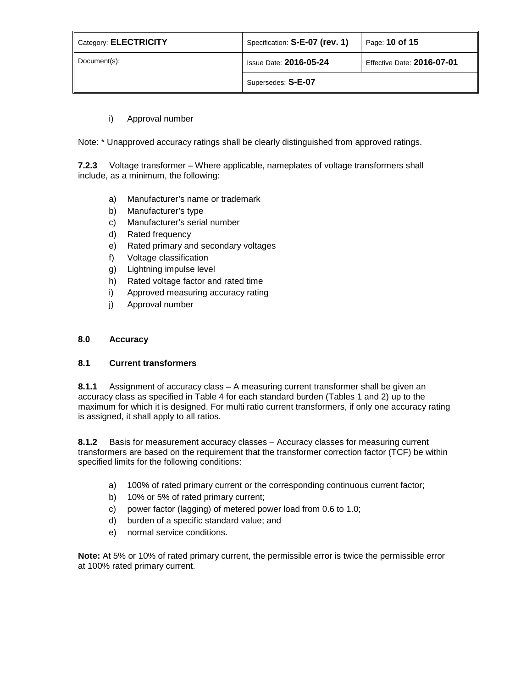| Category: ELECTRICITY | Specification: S-E-07 (rev. 1)                              | Page: 10 of 15 |
|-----------------------|-------------------------------------------------------------|----------------|
| Document(s):          | <b>Issue Date: 2016-05-24</b><br>Effective Date: 2016-07-01 |                |
|                       | Supersedes: S-E-07                                          |                |

# i) Approval number

Note: \* Unapproved accuracy ratings shall be clearly distinguished from approved ratings.

**7.2.3** Voltage transformer – Where applicable, nameplates of voltage transformers shall include, as a minimum, the following:

- a) Manufacturer's name or trademark
- b) Manufacturer's type
- c) Manufacturer's serial number
- d) Rated frequency
- e) Rated primary and secondary voltages
- f) Voltage classification
- g) Lightning impulse level
- h) Rated voltage factor and rated time
- i) Approved measuring accuracy rating
- j) Approval number

#### **8.0 Accuracy**

### **8.1 Current transformers**

**8.1.1** Assignment of accuracy class – A measuring current transformer shall be given an accuracy class as specified in Table 4 for each standard burden (Tables 1 and 2) up to the maximum for which it is designed. For multi ratio current transformers, if only one accuracy rating is assigned, it shall apply to all ratios.

**8.1.2** Basis for measurement accuracy classes – Accuracy classes for measuring current transformers are based on the requirement that the transformer correction factor (TCF) be within specified limits for the following conditions:

- a) 100% of rated primary current or the corresponding continuous current factor;
- b) 10% or 5% of rated primary current;
- c) power factor (lagging) of metered power load from 0.6 to 1.0;
- d) burden of a specific standard value; and
- e) normal service conditions.

**Note:** At 5% or 10% of rated primary current, the permissible error is twice the permissible error at 100% rated primary current.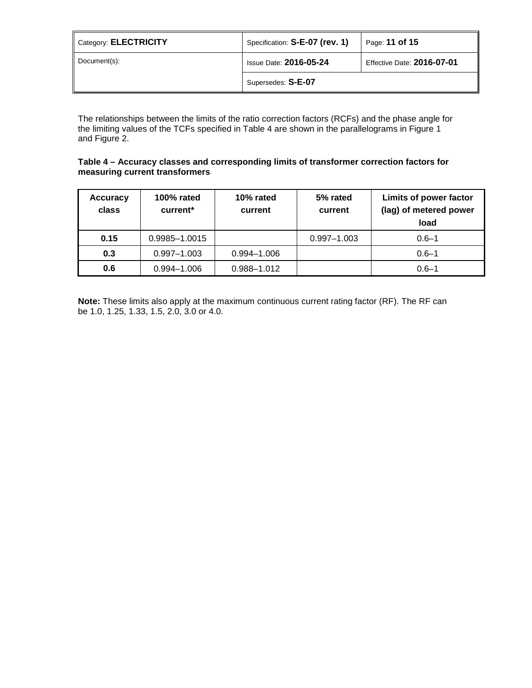| Category: ELECTRICITY | Specification: S-E-07 (rev. 1) | Page: 11 of 15             |
|-----------------------|--------------------------------|----------------------------|
| Document(s):          | <b>Issue Date: 2016-05-24</b>  | Effective Date: 2016-07-01 |
|                       | Supersedes: S-E-07             |                            |

The relationships between the limits of the ratio correction factors (RCFs) and the phase angle for the limiting values of the TCFs specified in Table 4 are shown in the parallelograms in Figure 1 and Figure 2.

## **Table 4 – Accuracy classes and corresponding limits of transformer correction factors for measuring current transformers**

| <b>Accuracy</b><br>class | 100% rated<br>current* | 10% rated<br>current | 5% rated<br>current | Limits of power factor<br>(lag) of metered power<br>load |
|--------------------------|------------------------|----------------------|---------------------|----------------------------------------------------------|
| 0.15                     | 0.9985-1.0015          |                      | $0.997 - 1.003$     | $0.6 - 1$                                                |
| 0.3                      | $0.997 - 1.003$        | $0.994 - 1.006$      |                     | $0.6 - 1$                                                |
| 0.6                      | $0.994 - 1.006$        | 0.988-1.012          |                     | $0.6 - 1$                                                |

**Note:** These limits also apply at the maximum continuous current rating factor (RF). The RF can be 1.0, 1.25, 1.33, 1.5, 2.0, 3.0 or 4.0.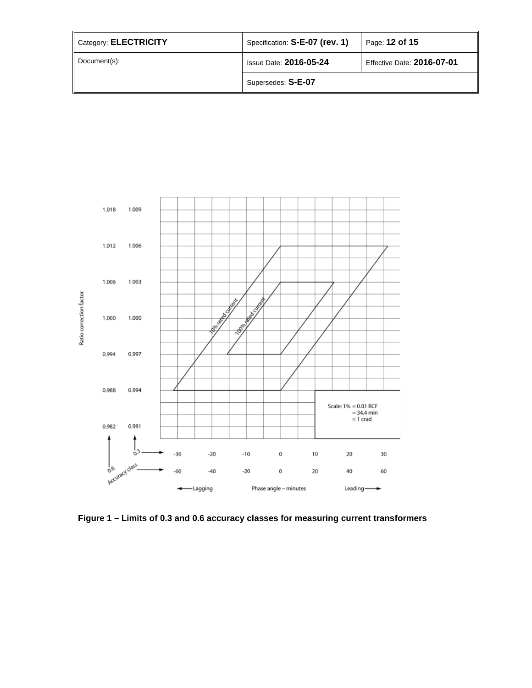| Category: ELECTRICITY | Specification: S-E-07 (rev. 1) | Page: 12 of 15             |
|-----------------------|--------------------------------|----------------------------|
| Document(s):          | <b>Issue Date: 2016-05-24</b>  | Effective Date: 2016-07-01 |
|                       | Supersedes: S-E-07             |                            |



**Figure 1 – Limits of 0.3 and 0.6 accuracy classes for measuring current transformers**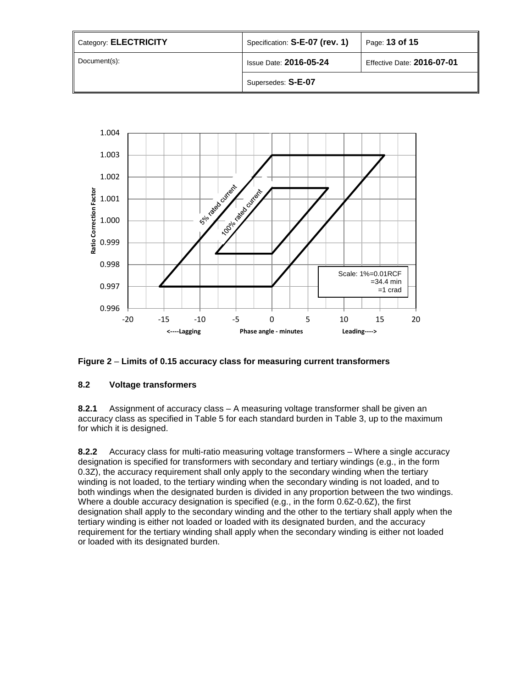| Category: ELECTRICITY | Specification: S-E-07 (rev. 1)                              | Page: 13 of 15 |
|-----------------------|-------------------------------------------------------------|----------------|
| Document(s):          | Effective Date: 2016-07-01<br><b>Issue Date: 2016-05-24</b> |                |
|                       | Supersedes: S-E-07                                          |                |



# **Figure 2** – **Limits of 0.15 accuracy class for measuring current transformers**

# **8.2 Voltage transformers**

**8.2.1** Assignment of accuracy class – A measuring voltage transformer shall be given an accuracy class as specified in Table 5 for each standard burden in Table 3, up to the maximum for which it is designed.

**8.2.2** Accuracy class for multi-ratio measuring voltage transformers – Where a single accuracy designation is specified for transformers with secondary and tertiary windings (e.g., in the form 0.3Z), the accuracy requirement shall only apply to the secondary winding when the tertiary winding is not loaded, to the tertiary winding when the secondary winding is not loaded, and to both windings when the designated burden is divided in any proportion between the two windings. Where a double accuracy designation is specified (e.g., in the form 0.6Z-0.6Z), the first designation shall apply to the secondary winding and the other to the tertiary shall apply when the tertiary winding is either not loaded or loaded with its designated burden, and the accuracy requirement for the tertiary winding shall apply when the secondary winding is either not loaded or loaded with its designated burden.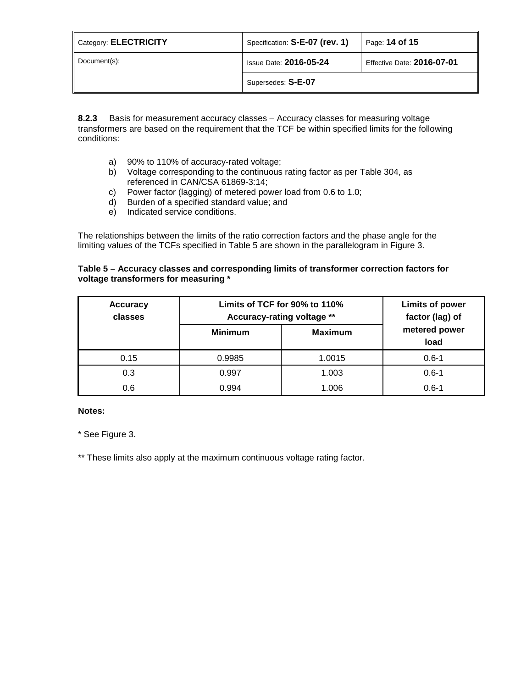| Category: ELECTRICITY | Specification: S-E-07 (rev. 1)                              | Page: 14 of 15 |
|-----------------------|-------------------------------------------------------------|----------------|
| Document(s):          | <b>Issue Date: 2016-05-24</b><br>Effective Date: 2016-07-01 |                |
|                       | Supersedes: S-E-07                                          |                |

**8.2.3** Basis for measurement accuracy classes – Accuracy classes for measuring voltage transformers are based on the requirement that the TCF be within specified limits for the following conditions:

- a) 90% to 110% of accuracy-rated voltage;
- b) Voltage corresponding to the continuous rating factor as per Table 304, as referenced in CAN/CSA 61869-3:14;
- c) Power factor (lagging) of metered power load from 0.6 to 1.0;
- d) Burden of a specified standard value; and
- e) Indicated service conditions.

The relationships between the limits of the ratio correction factors and the phase angle for the limiting values of the TCFs specified in Table 5 are shown in the parallelogram in Figure 3.

# **Table 5 – Accuracy classes and corresponding limits of transformer correction factors for voltage transformers for measuring \***

| <b>Accuracy</b><br>classes | Limits of TCF for 90% to 110%<br>Accuracy-rating voltage ** |                | <b>Limits of power</b><br>factor (lag) of |
|----------------------------|-------------------------------------------------------------|----------------|-------------------------------------------|
|                            | <b>Minimum</b>                                              | <b>Maximum</b> | metered power<br>load                     |
| 0.15                       | 0.9985                                                      | 1.0015         | $0.6 - 1$                                 |
| 0.3                        | 0.997                                                       | 1.003          | $0.6 - 1$                                 |
| 0.6                        | 0.994                                                       | 1.006          | $0.6 - 1$                                 |

#### **Notes:**

\* See Figure 3.

\*\* These limits also apply at the maximum continuous voltage rating factor.